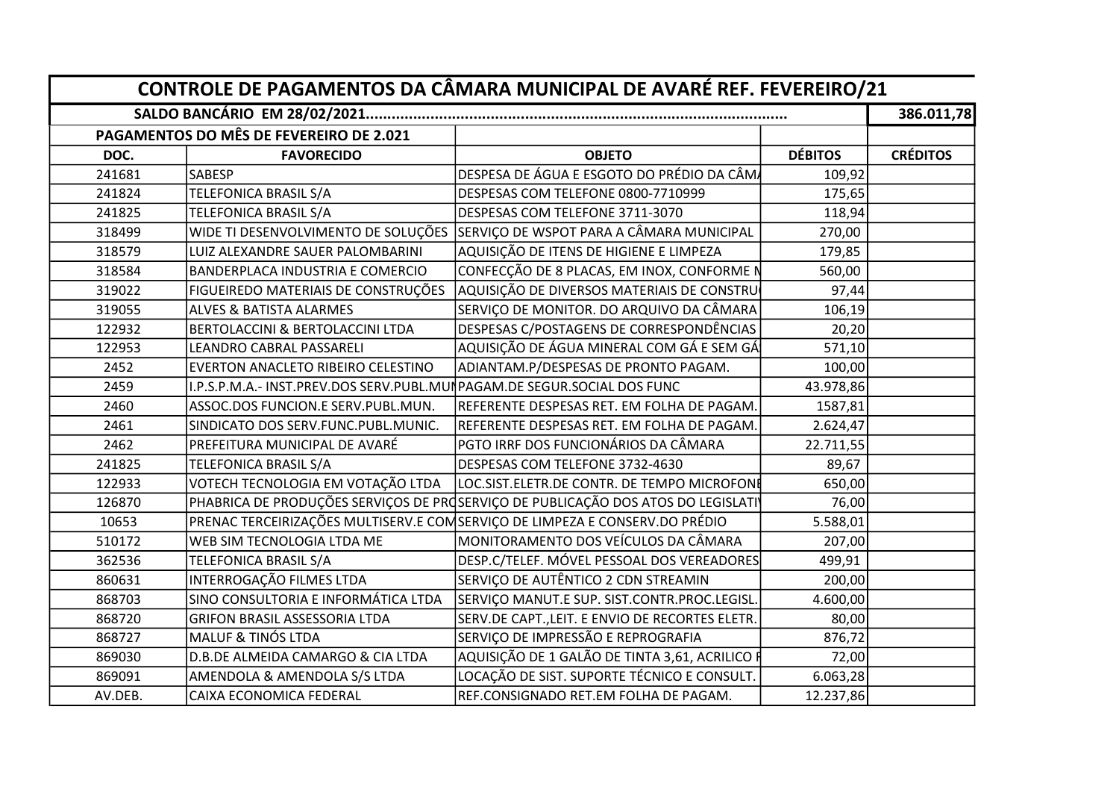|         | PAGAMENTOS DO MÊS DE FEVEREIRO DE 2.021                                |                                                                                   |                |                 |
|---------|------------------------------------------------------------------------|-----------------------------------------------------------------------------------|----------------|-----------------|
| DOC.    | <b>FAVORECIDO</b>                                                      | <b>OBJETO</b>                                                                     | <b>DÉBITOS</b> | <b>CRÉDITOS</b> |
| 241681  | <b>SABESP</b>                                                          | DESPESA DE ÁGUA E ESGOTO DO PRÉDIO DA CÂMA                                        | 109,92         |                 |
| 241824  | TELEFONICA BRASIL S/A                                                  | DESPESAS COM TELEFONE 0800-7710999                                                | 175,65         |                 |
| 241825  | TELEFONICA BRASIL S/A                                                  | DESPESAS COM TELEFONE 3711-3070                                                   | 118,94         |                 |
| 318499  | WIDE TI DESENVOLVIMENTO DE SOLUÇÕES                                    | SERVIÇO DE WSPOT PARA A CÂMARA MUNICIPAL                                          | 270,00         |                 |
| 318579  | LUIZ ALEXANDRE SAUER PALOMBARINI                                       | AQUISIÇÃO DE ITENS DE HIGIENE E LIMPEZA                                           | 179,85         |                 |
| 318584  | <b>BANDERPLACA INDUSTRIA E COMERCIO</b>                                | CONFECÇÃO DE 8 PLACAS, EM INOX, CONFORME N                                        | 560,00         |                 |
| 319022  | FIGUEIREDO MATERIAIS DE CONSTRUÇÕES                                    | AQUISIÇÃO DE DIVERSOS MATERIAIS DE CONSTRU                                        | 97,44          |                 |
| 319055  | <b>ALVES &amp; BATISTA ALARMES</b>                                     | SERVIÇO DE MONITOR. DO ARQUIVO DA CÂMARA                                          | 106,19         |                 |
| 122932  | <b>BERTOLACCINI &amp; BERTOLACCINI LTDA</b>                            | DESPESAS C/POSTAGENS DE CORRESPONDÊNCIAS                                          | 20,20          |                 |
| 122953  | LEANDRO CABRAL PASSARELI                                               | AQUISIÇÃO DE ÁGUA MINERAL COM GÁ E SEM GÁ                                         | 571,10         |                 |
| 2452    | EVERTON ANACLETO RIBEIRO CELESTINO                                     | ADIANTAM.P/DESPESAS DE PRONTO PAGAM.                                              | 100,00         |                 |
| 2459    | .P.S.P.M.A.- INST.PREV.DOS SERV.PUBL.MUNPAGAM.DE SEGUR.SOCIAL DOS FUNC |                                                                                   | 43.978,86      |                 |
| 2460    | ASSOC.DOS FUNCION.E SERV.PUBL.MUN.                                     | REFERENTE DESPESAS RET. EM FOLHA DE PAGAM.                                        | 1587,81        |                 |
| 2461    | SINDICATO DOS SERV.FUNC.PUBL.MUNIC.                                    | REFERENTE DESPESAS RET. EM FOLHA DE PAGAM.                                        | 2.624,47       |                 |
| 2462    | PREFEITURA MUNICIPAL DE AVARÉ                                          | PGTO IRRF DOS FUNCIONÁRIOS DA CÂMARA                                              | 22.711,55      |                 |
| 241825  | TELEFONICA BRASIL S/A                                                  | DESPESAS COM TELEFONE 3732-4630                                                   | 89,67          |                 |
| 122933  | VOTECH TECNOLOGIA EM VOTAÇÃO LTDA                                      | LOC.SIST.ELETR.DE CONTR. DE TEMPO MICROFONE                                       | 650,00         |                 |
| 126870  |                                                                        | PHABRICA DE PRODUÇÕES SERVIÇOS DE PROSERVIÇO DE PUBLICAÇÃO DOS ATOS DO LEGISLATIV | 76,00          |                 |
| 10653   |                                                                        | PRENAC TERCEIRIZAÇÕES MULTISERV.E COMSERVIÇO DE LIMPEZA E CONSERV.DO PRÉDIO       | 5.588,01       |                 |
| 510172  | WEB SIM TECNOLOGIA LTDA ME                                             | MONITORAMENTO DOS VEÍCULOS DA CÂMARA                                              | 207,00         |                 |
| 362536  | TELEFONICA BRASIL S/A                                                  | DESP.C/TELEF. MÓVEL PESSOAL DOS VEREADORES                                        | 499,91         |                 |
| 860631  | INTERROGAÇÃO FILMES LTDA                                               | SERVIÇO DE AUTÊNTICO 2 CDN STREAMIN                                               | 200,00         |                 |
| 868703  | SINO CONSULTORIA E INFORMÁTICA LTDA                                    | SERVIÇO MANUT.E SUP. SIST.CONTR.PROC.LEGISL.                                      | 4.600,00       |                 |
| 868720  | <b>GRIFON BRASIL ASSESSORIA LTDA</b>                                   | SERV.DE CAPT., LEIT. E ENVIO DE RECORTES ELETR.                                   | 80,00          |                 |
| 868727  | MALUF & TINÓS LTDA                                                     | SERVIÇO DE IMPRESSÃO E REPROGRAFIA                                                | 876,72         |                 |
| 869030  | D.B.DE ALMEIDA CAMARGO & CIA LTDA                                      | AQUISIÇÃO DE 1 GALÃO DE TINTA 3,61, ACRILICO F                                    | 72,00          |                 |
| 869091  | AMENDOLA & AMENDOLA S/S LTDA                                           | LOCAÇÃO DE SIST. SUPORTE TÉCNICO E CONSULT.                                       | 6.063,28       |                 |
| AV.DEB. | CAIXA ECONOMICA FEDERAL                                                | REF.CONSIGNADO RET.EM FOLHA DE PAGAM.                                             | 12.237,86      |                 |